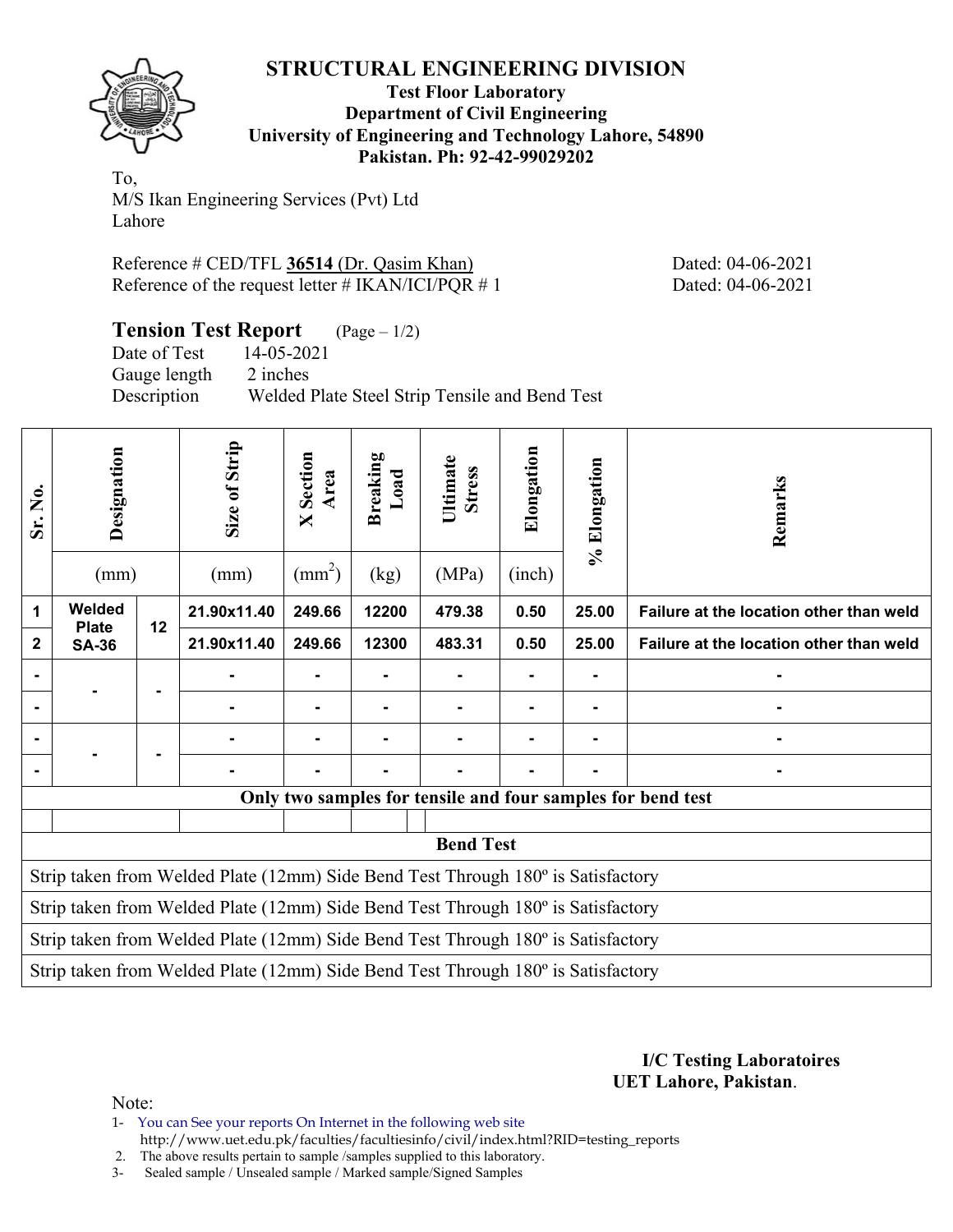

**Test Floor Laboratory Department of Civil Engineering University of Engineering and Technology Lahore, 54890 Pakistan. Ph: 92-42-99029202** 

To, M/S Ikan Engineering Services (Pvt) Ltd Lahore

Reference # CED/TFL **36514** (Dr. Qasim Khan) Dated: 04-06-2021 Reference of the request letter # IKAN/ICI/PQR # 1 Dated: 04-06-2021

**Tension Test Report** (Page – 1/2)

Date of Test 14-05-2021 Gauge length 2 inches Description Welded Plate Steel Strip Tensile and Bend Test

| Sr. No.                                                                          | Designation<br>(mm)    |    | Size of Strip<br>(mm)                                                            | Section<br>Area<br>$\mathsf{X}$<br>$\text{ (mm}^2\text{)}$ | Breaking<br>Load<br>(kg) | Ultimate<br><b>Stress</b><br>(MPa) | Elongation<br>(inch) | % Elongation   | Remarks                                                     |  |  |  |
|----------------------------------------------------------------------------------|------------------------|----|----------------------------------------------------------------------------------|------------------------------------------------------------|--------------------------|------------------------------------|----------------------|----------------|-------------------------------------------------------------|--|--|--|
| 1                                                                                | Welded<br><b>Plate</b> | 12 | 21.90x11.40                                                                      | 249.66                                                     | 12200                    | 479.38                             | 0.50                 | 25.00          | Failure at the location other than weld                     |  |  |  |
| $\mathbf{2}$                                                                     | <b>SA-36</b>           |    | 21.90x11.40                                                                      | 249.66                                                     | 12300                    | 483.31                             | 0.50                 | 25.00          | Failure at the location other than weld                     |  |  |  |
| $\blacksquare$                                                                   |                        |    |                                                                                  |                                                            |                          |                                    |                      |                |                                                             |  |  |  |
|                                                                                  |                        |    |                                                                                  | $\blacksquare$                                             | -                        |                                    | -                    | $\blacksquare$ |                                                             |  |  |  |
|                                                                                  |                        |    |                                                                                  |                                                            |                          |                                    |                      |                |                                                             |  |  |  |
|                                                                                  |                        |    |                                                                                  |                                                            |                          |                                    |                      |                |                                                             |  |  |  |
|                                                                                  |                        |    |                                                                                  |                                                            |                          |                                    |                      |                | Only two samples for tensile and four samples for bend test |  |  |  |
|                                                                                  |                        |    |                                                                                  |                                                            |                          |                                    |                      |                |                                                             |  |  |  |
|                                                                                  |                        |    |                                                                                  |                                                            |                          | <b>Bend Test</b>                   |                      |                |                                                             |  |  |  |
|                                                                                  |                        |    | Strip taken from Welded Plate (12mm) Side Bend Test Through 180° is Satisfactory |                                                            |                          |                                    |                      |                |                                                             |  |  |  |
|                                                                                  |                        |    | Strip taken from Welded Plate (12mm) Side Bend Test Through 180° is Satisfactory |                                                            |                          |                                    |                      |                |                                                             |  |  |  |
| Strip taken from Welded Plate (12mm) Side Bend Test Through 180° is Satisfactory |                        |    |                                                                                  |                                                            |                          |                                    |                      |                |                                                             |  |  |  |
|                                                                                  |                        |    | Strip taken from Welded Plate (12mm) Side Bend Test Through 180° is Satisfactory |                                                            |                          |                                    |                      |                |                                                             |  |  |  |
|                                                                                  |                        |    |                                                                                  |                                                            |                          |                                    |                      |                |                                                             |  |  |  |

**I/C Testing Laboratoires UET Lahore, Pakistan**.

Note:

1- You can See your reports On Internet in the following web site http://www.uet.edu.pk/faculties/facultiesinfo/civil/index.html?RID=testing\_reports

2. The above results pertain to sample /samples supplied to this laboratory.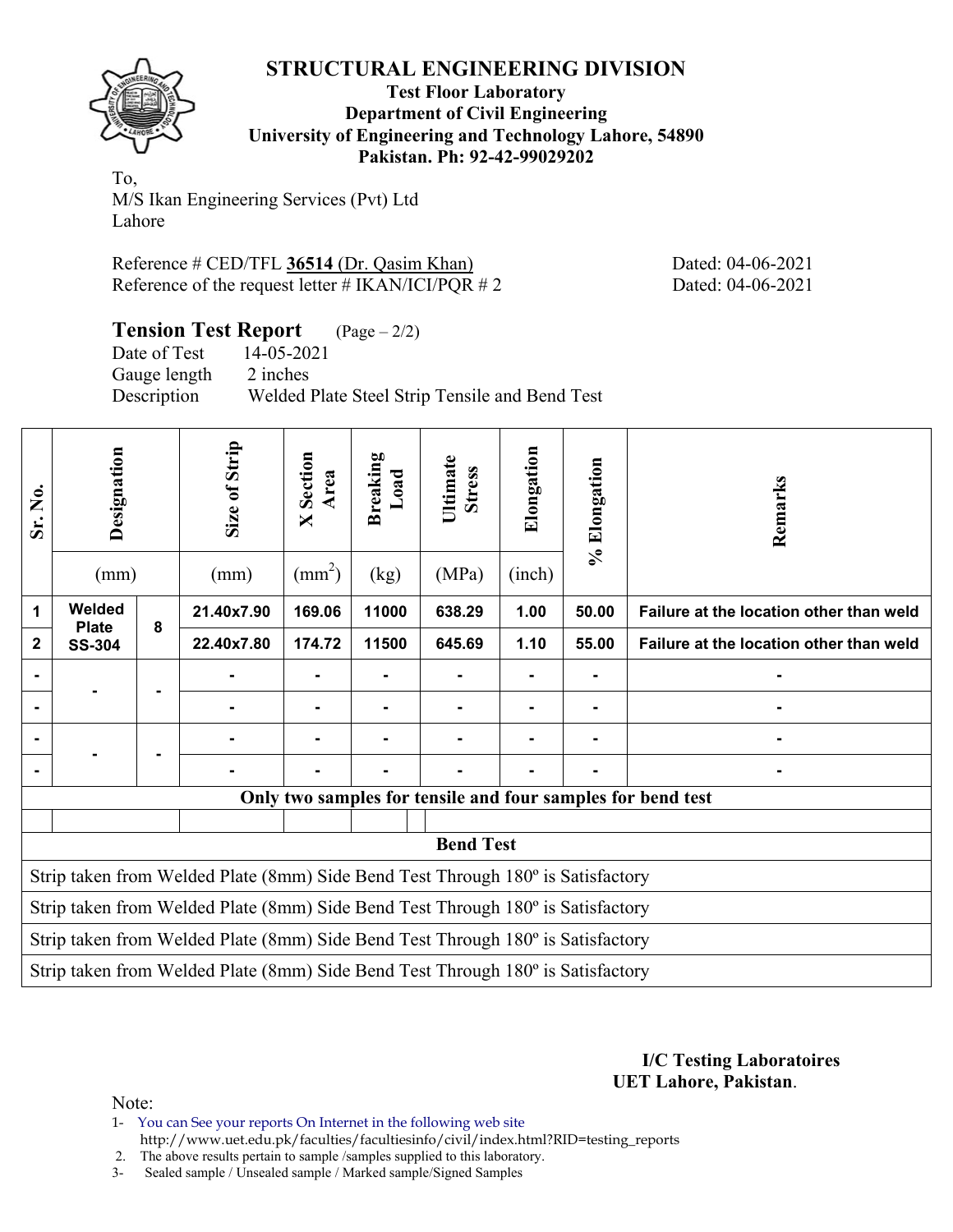

**Test Floor Laboratory Department of Civil Engineering University of Engineering and Technology Lahore, 54890 Pakistan. Ph: 92-42-99029202** 

To, M/S Ikan Engineering Services (Pvt) Ltd Lahore

Reference # CED/TFL **36514** (Dr. Qasim Khan) Dated: 04-06-2021 Reference of the request letter # IKAN/ICI/PQR # 2 Dated: 04-06-2021

**Tension Test Report** (Page – 2/2)

Date of Test 14-05-2021 Gauge length 2 inches Description Welded Plate Steel Strip Tensile and Bend Test

| Welded<br>21.40x7.90<br>169.06<br>11000<br>638.29<br>1.00<br>1<br>50.00<br>Failure at the location other than weld<br>8<br><b>Plate</b><br>22.40x7.80<br>174.72<br>11500<br>645.69<br>1.10<br>55.00<br>Failure at the location other than weld<br>$\mathbf{2}$<br><b>SS-304</b><br>۰<br>$\blacksquare$<br>$\blacksquare$<br>۰<br>$\blacksquare$<br>$\blacksquare$<br>Only two samples for tensile and four samples for bend test<br><b>Bend Test</b><br>Strip taken from Welded Plate (8mm) Side Bend Test Through 180° is Satisfactory<br>Strip taken from Welded Plate (8mm) Side Bend Test Through 180° is Satisfactory<br>Strip taken from Welded Plate (8mm) Side Bend Test Through 180° is Satisfactory<br>Strip taken from Welded Plate (8mm) Side Bend Test Through 180° is Satisfactory | Sr. No. | Designation<br>(mm) | Size of Strip<br>(mm) | Section<br>Area<br>$\boxtimes$<br>$\text{ (mm}^2\text{)}$ | <b>Breaking</b><br>$\mathbf{L}\mathbf{0}\mathbf{a}\mathbf{d}$<br>(kg) | Ultimate<br><b>Stress</b><br>(MPa) | Elongation<br>(inch) | % Elongation | Remarks |
|--------------------------------------------------------------------------------------------------------------------------------------------------------------------------------------------------------------------------------------------------------------------------------------------------------------------------------------------------------------------------------------------------------------------------------------------------------------------------------------------------------------------------------------------------------------------------------------------------------------------------------------------------------------------------------------------------------------------------------------------------------------------------------------------------|---------|---------------------|-----------------------|-----------------------------------------------------------|-----------------------------------------------------------------------|------------------------------------|----------------------|--------------|---------|
|                                                                                                                                                                                                                                                                                                                                                                                                                                                                                                                                                                                                                                                                                                                                                                                                  |         |                     |                       |                                                           |                                                                       |                                    |                      |              |         |
|                                                                                                                                                                                                                                                                                                                                                                                                                                                                                                                                                                                                                                                                                                                                                                                                  |         |                     |                       |                                                           |                                                                       |                                    |                      |              |         |
|                                                                                                                                                                                                                                                                                                                                                                                                                                                                                                                                                                                                                                                                                                                                                                                                  |         |                     |                       |                                                           |                                                                       |                                    |                      |              |         |
|                                                                                                                                                                                                                                                                                                                                                                                                                                                                                                                                                                                                                                                                                                                                                                                                  |         |                     |                       |                                                           |                                                                       |                                    |                      |              |         |
|                                                                                                                                                                                                                                                                                                                                                                                                                                                                                                                                                                                                                                                                                                                                                                                                  |         |                     |                       |                                                           |                                                                       |                                    |                      |              |         |
|                                                                                                                                                                                                                                                                                                                                                                                                                                                                                                                                                                                                                                                                                                                                                                                                  |         |                     |                       |                                                           |                                                                       |                                    |                      |              |         |
|                                                                                                                                                                                                                                                                                                                                                                                                                                                                                                                                                                                                                                                                                                                                                                                                  |         |                     |                       |                                                           |                                                                       |                                    |                      |              |         |
|                                                                                                                                                                                                                                                                                                                                                                                                                                                                                                                                                                                                                                                                                                                                                                                                  |         |                     |                       |                                                           |                                                                       |                                    |                      |              |         |
|                                                                                                                                                                                                                                                                                                                                                                                                                                                                                                                                                                                                                                                                                                                                                                                                  |         |                     |                       |                                                           |                                                                       |                                    |                      |              |         |
|                                                                                                                                                                                                                                                                                                                                                                                                                                                                                                                                                                                                                                                                                                                                                                                                  |         |                     |                       |                                                           |                                                                       |                                    |                      |              |         |
|                                                                                                                                                                                                                                                                                                                                                                                                                                                                                                                                                                                                                                                                                                                                                                                                  |         |                     |                       |                                                           |                                                                       |                                    |                      |              |         |
|                                                                                                                                                                                                                                                                                                                                                                                                                                                                                                                                                                                                                                                                                                                                                                                                  |         |                     |                       |                                                           |                                                                       |                                    |                      |              |         |
|                                                                                                                                                                                                                                                                                                                                                                                                                                                                                                                                                                                                                                                                                                                                                                                                  |         |                     |                       |                                                           |                                                                       |                                    |                      |              |         |

**I/C Testing Laboratoires UET Lahore, Pakistan**.

Note:

1- You can See your reports On Internet in the following web site http://www.uet.edu.pk/faculties/facultiesinfo/civil/index.html?RID=testing\_reports

2. The above results pertain to sample /samples supplied to this laboratory.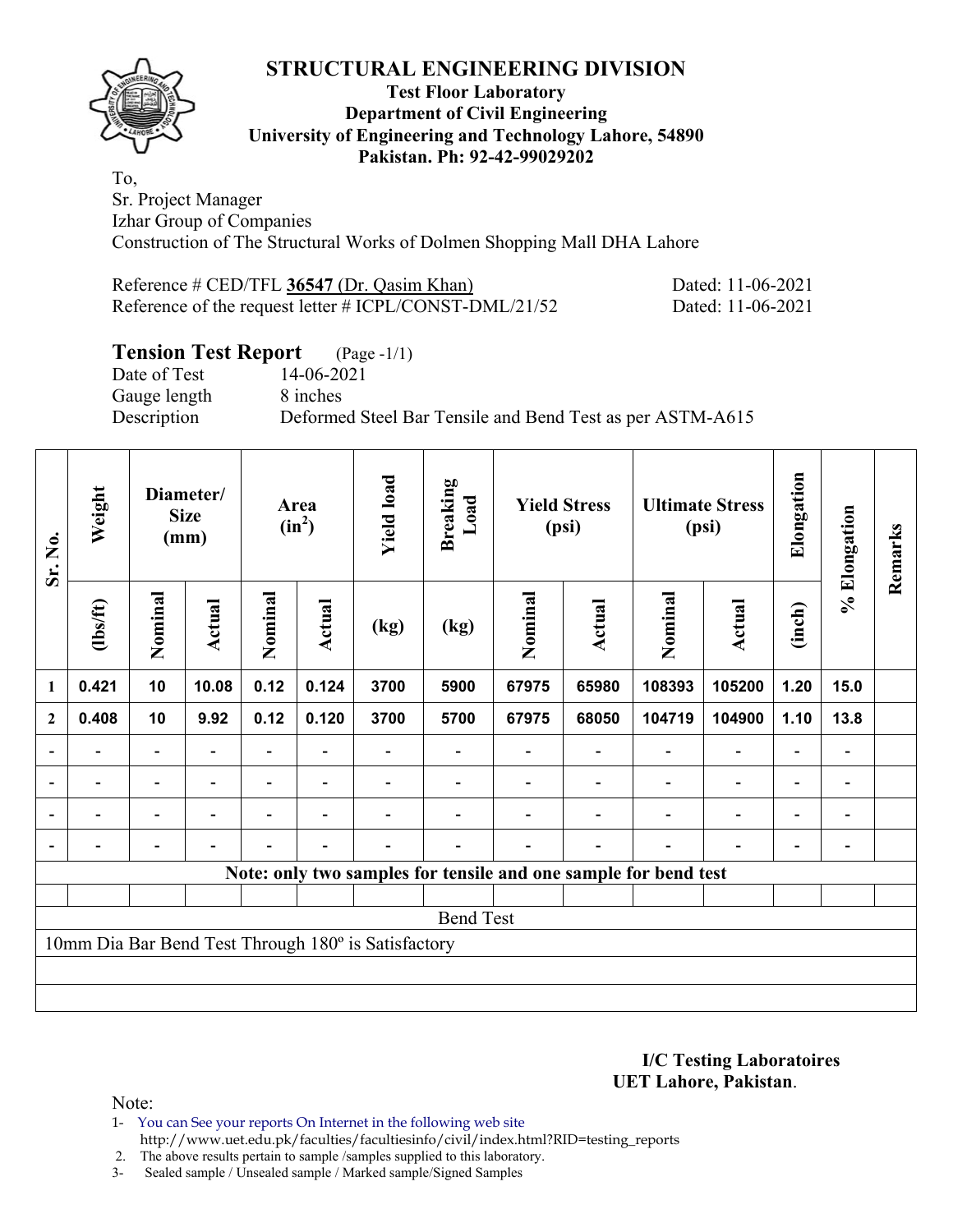

#### **Test Floor Laboratory Department of Civil Engineering University of Engineering and Technology Lahore, 54890 Pakistan. Ph: 92-42-99029202**

To, Sr. Project Manager Izhar Group of Companies Construction of The Structural Works of Dolmen Shopping Mall DHA Lahore

| Reference # CED/TFL 36547 (Dr. Qasim Khan)                | Dated: 11-06-2021 |
|-----------------------------------------------------------|-------------------|
| Reference of the request letter $\#$ ICPL/CONST-DML/21/52 | Dated: 11-06-2021 |

### **Tension Test Report** (Page -1/1)

Date of Test 14-06-2021 Gauge length 8 inches

Description Deformed Steel Bar Tensile and Bend Test as per ASTM-A615

| Sr. No.        | Weight         |                          | Diameter/<br><b>Size</b><br>(mm) |                          | Area<br>$(in^2)$         | <b>Yield load</b>                                   | <b>Breaking</b><br>Load |         | <b>Yield Stress</b><br>(psi) |                                                                 | <b>Ultimate Stress</b><br>(psi) | Elongation               | % Elongation   | Remarks |
|----------------|----------------|--------------------------|----------------------------------|--------------------------|--------------------------|-----------------------------------------------------|-------------------------|---------|------------------------------|-----------------------------------------------------------------|---------------------------------|--------------------------|----------------|---------|
|                | (1bs/ft)       | Nominal                  | Actual                           | Nominal                  | <b>Actual</b>            | (kg)                                                | (kg)                    | Nominal | <b>Actual</b>                | Nominal                                                         | <b>Actual</b>                   | (inch)                   |                |         |
| $\mathbf{1}$   | 0.421          | 10                       | 10.08                            | 0.12                     | 0.124                    | 3700                                                | 5900                    | 67975   | 65980                        | 108393                                                          | 105200                          | 1.20                     | 15.0           |         |
| $\mathbf{2}$   | 0.408          | 10                       | 9.92                             | 0.12                     | 0.120                    | 3700                                                | 5700                    | 67975   | 68050                        | 104719                                                          | 104900                          | 1.10                     | 13.8           |         |
|                |                | $\overline{\phantom{0}}$ |                                  |                          |                          |                                                     |                         |         |                              |                                                                 |                                 |                          |                |         |
| $\blacksquare$ | $\blacksquare$ | $\overline{\phantom{a}}$ | $\blacksquare$                   | $\blacksquare$           | $\overline{\phantom{0}}$ |                                                     |                         |         |                              | $\overline{\phantom{a}}$                                        | $\overline{\phantom{0}}$        | $\overline{\phantom{0}}$ | $\blacksquare$ |         |
|                | $\overline{a}$ | Ξ.                       |                                  |                          | $\overline{\phantom{0}}$ |                                                     |                         |         |                              | $\overline{\phantom{0}}$                                        | $\overline{\phantom{0}}$        | $\overline{\phantom{0}}$ |                |         |
|                |                | $\overline{\phantom{0}}$ | $\overline{\phantom{0}}$         | $\overline{\phantom{0}}$ | $\blacksquare$           |                                                     |                         |         | $\overline{\phantom{a}}$     | $\overline{\phantom{0}}$                                        |                                 | ٠                        |                |         |
|                |                |                          |                                  |                          |                          |                                                     |                         |         |                              | Note: only two samples for tensile and one sample for bend test |                                 |                          |                |         |
|                |                |                          |                                  |                          |                          |                                                     |                         |         |                              |                                                                 |                                 |                          |                |         |
|                |                |                          |                                  |                          |                          |                                                     | <b>Bend Test</b>        |         |                              |                                                                 |                                 |                          |                |         |
|                |                |                          |                                  |                          |                          | 10mm Dia Bar Bend Test Through 180° is Satisfactory |                         |         |                              |                                                                 |                                 |                          |                |         |
|                |                |                          |                                  |                          |                          |                                                     |                         |         |                              |                                                                 |                                 |                          |                |         |
|                |                |                          |                                  |                          |                          |                                                     |                         |         |                              |                                                                 |                                 |                          |                |         |

**I/C Testing Laboratoires UET Lahore, Pakistan**.

Note:

1- You can See your reports On Internet in the following web site http://www.uet.edu.pk/faculties/facultiesinfo/civil/index.html?RID=testing\_reports

2. The above results pertain to sample /samples supplied to this laboratory.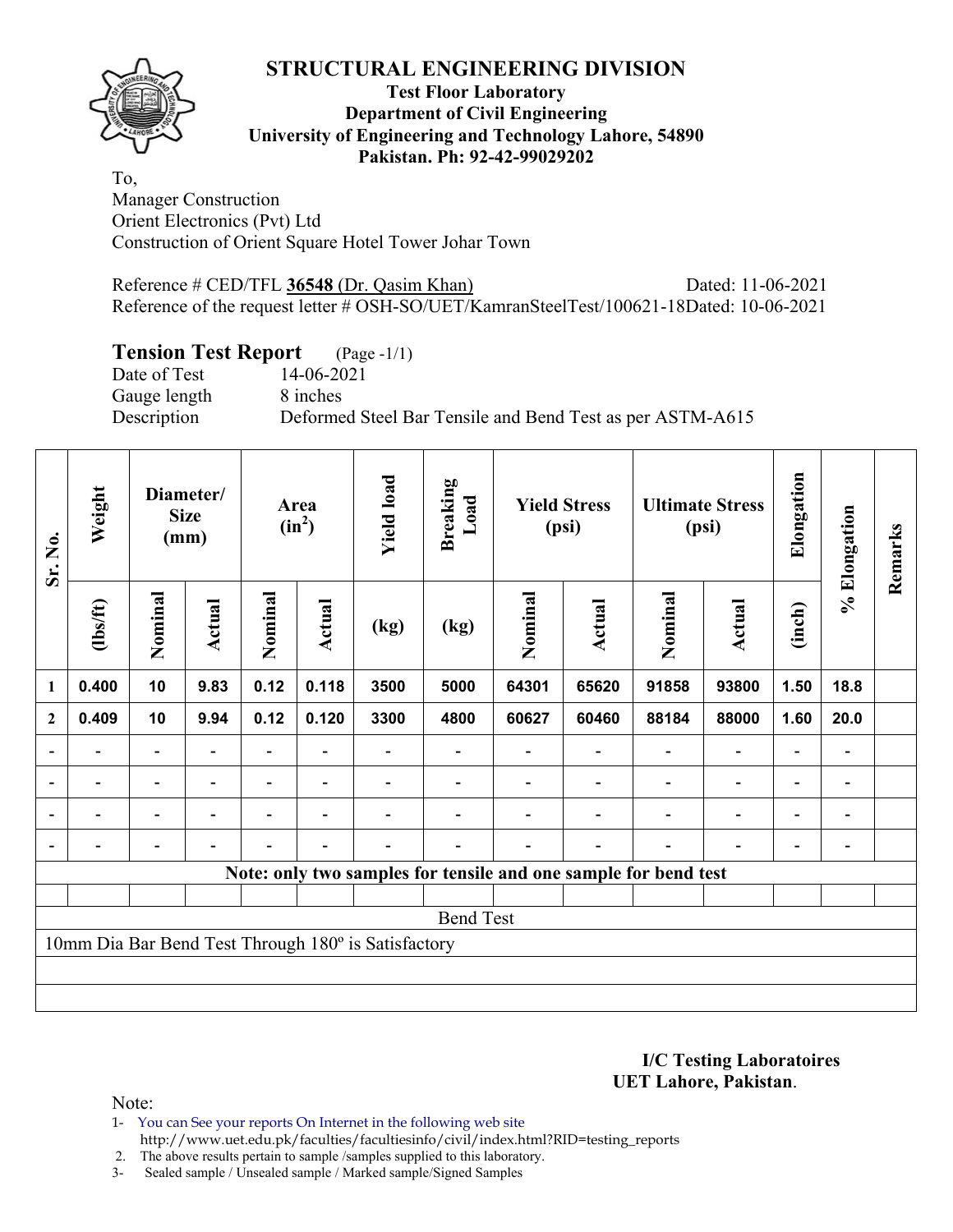

#### **Test Floor Laboratory Department of Civil Engineering University of Engineering and Technology Lahore, 54890 Pakistan. Ph: 92-42-99029202**

To, Manager Construction Orient Electronics (Pvt) Ltd Construction of Orient Square Hotel Tower Johar Town

Reference # CED/TFL **36548** (Dr. Qasim Khan) Dated: 11-06-2021 Reference of the request letter # OSH-SO/UET/KamranSteelTest/100621-18Dated: 10-06-2021

### **Tension Test Report** (Page -1/1)

Gauge length 8 inches

Date of Test 14-06-2021 Description Deformed Steel Bar Tensile and Bend Test as per ASTM-A615

| Sr. No.        | Weight   |                          | Diameter/<br><b>Size</b><br>(mm) |                          | <b>Yield load</b><br><b>Breaking</b><br>Load<br><b>Yield Stress</b><br>Area<br>$(in^2)$<br>(psi) |                                                     |                  |         | <b>Ultimate Stress</b><br>(psi)                                 | Elongation               | % Elongation             | Remarks                      |                              |  |
|----------------|----------|--------------------------|----------------------------------|--------------------------|--------------------------------------------------------------------------------------------------|-----------------------------------------------------|------------------|---------|-----------------------------------------------------------------|--------------------------|--------------------------|------------------------------|------------------------------|--|
|                | (1bs/ft) | Nominal                  | Actual                           | Nominal                  | <b>Actual</b>                                                                                    | (kg)                                                | (kg)             | Nominal | Actual                                                          | Nominal                  | Actual                   | (inch)                       |                              |  |
| $\mathbf{1}$   | 0.400    | 10                       | 9.83                             | 0.12                     | 0.118                                                                                            | 3500                                                | 5000             | 64301   | 65620                                                           | 91858                    | 93800                    | 1.50                         | 18.8                         |  |
| $\mathbf{2}$   | 0.409    | 10                       | 9.94                             | 0.12                     | 0.120                                                                                            | 3300                                                | 4800             | 60627   | 60460                                                           | 88184                    | 88000                    | 1.60                         | 20.0                         |  |
| $\overline{a}$ |          | $\overline{\phantom{0}}$ |                                  |                          |                                                                                                  |                                                     |                  |         |                                                                 |                          | $\overline{a}$           | $\qquad \qquad \blacksquare$ |                              |  |
| $\blacksquare$ | Ξ.       | $\overline{\phantom{a}}$ | $\blacksquare$                   | $\overline{\phantom{0}}$ | $\overline{\phantom{a}}$                                                                         |                                                     |                  |         |                                                                 | $\overline{\phantom{a}}$ | $\blacksquare$           | $\overline{\phantom{0}}$     | $\blacksquare$               |  |
|                | -        | Ξ.                       | $\blacksquare$                   | $\overline{\phantom{0}}$ | $\overline{\phantom{0}}$                                                                         |                                                     |                  |         |                                                                 | $\blacksquare$           | $\overline{a}$           | -                            | $\qquad \qquad \blacksquare$ |  |
|                |          | Ξ.                       |                                  |                          | $\overline{\phantom{a}}$                                                                         |                                                     |                  |         |                                                                 |                          | $\overline{\phantom{0}}$ | $\overline{\phantom{0}}$     | $\qquad \qquad \blacksquare$ |  |
|                |          |                          |                                  |                          |                                                                                                  |                                                     |                  |         | Note: only two samples for tensile and one sample for bend test |                          |                          |                              |                              |  |
|                |          |                          |                                  |                          |                                                                                                  |                                                     |                  |         |                                                                 |                          |                          |                              |                              |  |
|                |          |                          |                                  |                          |                                                                                                  |                                                     | <b>Bend Test</b> |         |                                                                 |                          |                          |                              |                              |  |
|                |          |                          |                                  |                          |                                                                                                  | 10mm Dia Bar Bend Test Through 180° is Satisfactory |                  |         |                                                                 |                          |                          |                              |                              |  |
|                |          |                          |                                  |                          |                                                                                                  |                                                     |                  |         |                                                                 |                          |                          |                              |                              |  |
|                |          |                          |                                  |                          |                                                                                                  |                                                     |                  |         |                                                                 |                          |                          |                              |                              |  |

**I/C Testing Laboratoires UET Lahore, Pakistan**.

Note:

1- You can See your reports On Internet in the following web site http://www.uet.edu.pk/faculties/facultiesinfo/civil/index.html?RID=testing\_reports

2. The above results pertain to sample /samples supplied to this laboratory.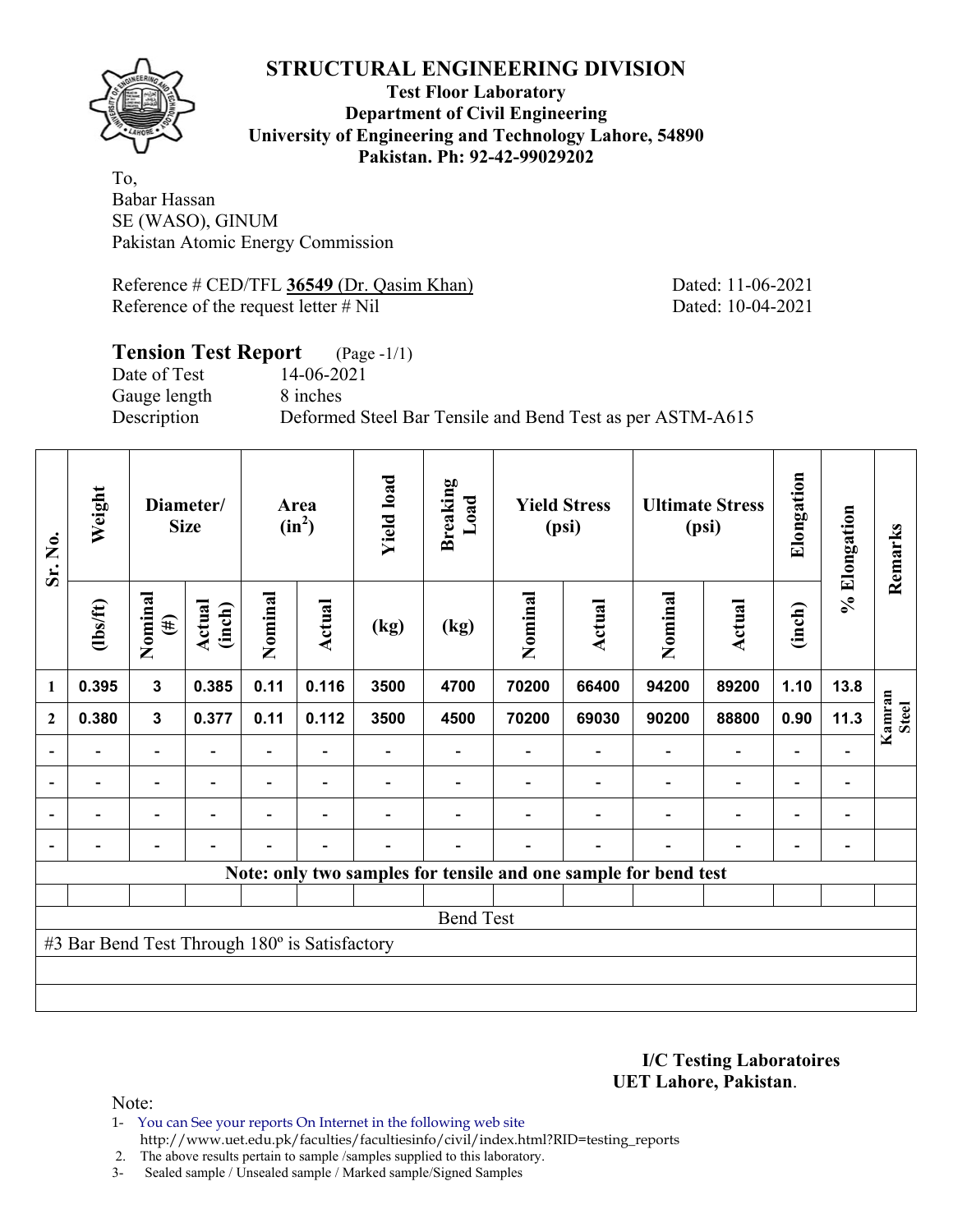

**Test Floor Laboratory Department of Civil Engineering University of Engineering and Technology Lahore, 54890 Pakistan. Ph: 92-42-99029202** 

To, Babar Hassan SE (WASO), GINUM Pakistan Atomic Energy Commission

Reference # CED/TFL 36549 (Dr. Qasim Khan) Dated: 11-06-2021 Reference of the request letter # Nil Dated: 10-04-2021

#### **Tension Test Report** (Page -1/1) Date of Test 14-06-2021

Gauge length 8 inches

Description Deformed Steel Bar Tensile and Bend Test as per ASTM-A615

| Sr. No.        | Weight                                        |                              | Diameter/<br><b>Size</b> |         | Area<br>$(in^2)$         | <b>Yield load</b>        | <b>Breaking</b><br>Load                                         |         | <b>Yield Stress</b><br>(psi) |                          | <b>Ultimate Stress</b><br>(psi) | Elongation               | % Elongation                 | Remarks                |
|----------------|-----------------------------------------------|------------------------------|--------------------------|---------|--------------------------|--------------------------|-----------------------------------------------------------------|---------|------------------------------|--------------------------|---------------------------------|--------------------------|------------------------------|------------------------|
|                | $\frac{2}{10}$                                | Nominal<br>$(\#)$            | Actual<br>(inch)         | Nominal | Actual                   | (kg)                     | (kg)                                                            | Nominal | <b>Actual</b>                | Nominal                  | <b>Actual</b>                   | (inch)                   |                              |                        |
| 1              | 0.395                                         | $\mathbf{3}$                 | 0.385                    | 0.11    | 0.116                    | 3500                     | 4700                                                            | 70200   | 66400                        | 94200                    | 89200                           | 1.10                     | 13.8                         |                        |
| $\mathbf{2}$   | 0.380                                         | $\mathbf{3}$                 | 0.377                    | 0.11    | 0.112                    | 3500                     | 4500                                                            | 70200   | 69030                        | 90200                    | 88800                           | 0.90                     | 11.3                         | Kamran<br><b>Steel</b> |
|                |                                               | $\overline{\phantom{0}}$     |                          |         |                          |                          |                                                                 |         |                              |                          | $\overline{\phantom{a}}$        | $\overline{\phantom{0}}$ |                              |                        |
| $\overline{a}$ | -                                             | $\overline{\phantom{a}}$     |                          |         | $\overline{\phantom{a}}$ |                          |                                                                 |         |                              | $\overline{\phantom{0}}$ | $\overline{\phantom{a}}$        | Ξ.                       | $\qquad \qquad \blacksquare$ |                        |
| $\overline{a}$ |                                               | $\overline{\phantom{a}}$     | $\overline{\phantom{0}}$ |         | $\blacksquare$           |                          |                                                                 |         | ۰                            | $\overline{\phantom{0}}$ | $\overline{\phantom{a}}$        | $\overline{\phantom{a}}$ | $\overline{\phantom{a}}$     |                        |
|                | $\overline{\phantom{0}}$                      | $\qquad \qquad \blacksquare$ |                          | ۳       | $\blacksquare$           | $\overline{\phantom{0}}$ |                                                                 |         | $\overline{\phantom{0}}$     | $\overline{\phantom{0}}$ | $\overline{\phantom{a}}$        | $\overline{\phantom{a}}$ | $\overline{\phantom{a}}$     |                        |
|                |                                               |                              |                          |         |                          |                          | Note: only two samples for tensile and one sample for bend test |         |                              |                          |                                 |                          |                              |                        |
|                |                                               |                              |                          |         |                          |                          |                                                                 |         |                              |                          |                                 |                          |                              |                        |
|                |                                               |                              |                          |         |                          |                          | <b>Bend Test</b>                                                |         |                              |                          |                                 |                          |                              |                        |
|                | #3 Bar Bend Test Through 180° is Satisfactory |                              |                          |         |                          |                          |                                                                 |         |                              |                          |                                 |                          |                              |                        |
|                |                                               |                              |                          |         |                          |                          |                                                                 |         |                              |                          |                                 |                          |                              |                        |
|                |                                               |                              |                          |         |                          |                          |                                                                 |         |                              |                          |                                 |                          |                              |                        |

**I/C Testing Laboratoires UET Lahore, Pakistan**.

Note:

1- You can See your reports On Internet in the following web site http://www.uet.edu.pk/faculties/facultiesinfo/civil/index.html?RID=testing\_reports

2. The above results pertain to sample /samples supplied to this laboratory.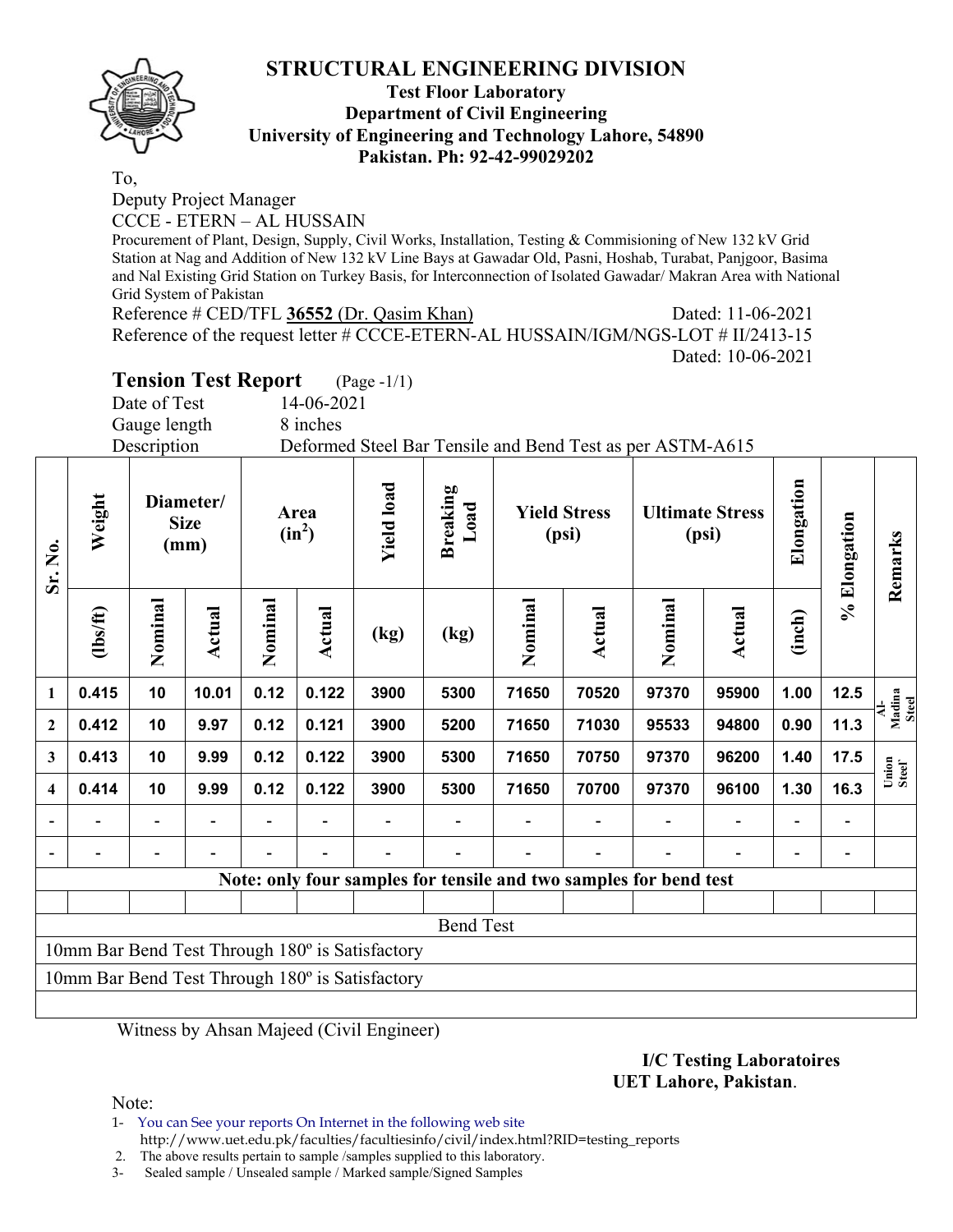

#### **Test Floor Laboratory Department of Civil Engineering University of Engineering and Technology Lahore, 54890 Pakistan. Ph: 92-42-99029202**

To,

Deputy Project Manager

CCCE - ETERN – AL HUSSAIN

Procurement of Plant, Design, Supply, Civil Works, Installation, Testing & Commisioning of New 132 kV Grid Station at Nag and Addition of New 132 kV Line Bays at Gawadar Old, Pasni, Hoshab, Turabat, Panjgoor, Basima and Nal Existing Grid Station on Turkey Basis, for Interconnection of Isolated Gawadar/ Makran Area with National Grid System of Pakistan

Reference # CED/TFL **36552** (Dr. Qasim Khan) Dated: 11-06-2021 Reference of the request letter # CCCE-ETERN-AL HUSSAIN/IGM/NGS-LOT # II/2413-15 Dated: 10-06-2021

# **Tension Test Report** (Page -1/1)

Date of Test 14-06-2021

Gauge length 8 inches

Description Deformed Steel Bar Tensile and Bend Test as per ASTM-A615

| Sr. No.                  | Weight                                          |         | <b>Yield load</b><br><b>Breaking</b><br>Diameter/<br>Load<br><b>Yield Stress</b><br>Area<br><b>Size</b><br>$(in^2)$<br>(psi)<br>(mm) |         |               |                                                 | <b>Ultimate Stress</b><br>(psi) | Elongation | % Elongation                                                      | Remarks |               |                          |      |                                  |
|--------------------------|-------------------------------------------------|---------|--------------------------------------------------------------------------------------------------------------------------------------|---------|---------------|-------------------------------------------------|---------------------------------|------------|-------------------------------------------------------------------|---------|---------------|--------------------------|------|----------------------------------|
|                          | $\frac{2}{10}$                                  | Nominal | Actual                                                                                                                               | Nominal | <b>Actual</b> | (kg)                                            | (kg)                            | Nominal    | Actual                                                            | Nominal | <b>Actual</b> | (inch)                   |      |                                  |
| 1                        | 0.415                                           | 10      | 10.01                                                                                                                                | 0.12    | 0.122         | 3900                                            | 5300                            | 71650      | 70520                                                             | 97370   | 95900         | 1.00                     | 12.5 | Madina<br>Steel<br>$\frac{1}{2}$ |
| $\overline{2}$           | 0.412                                           | 10      | 9.97                                                                                                                                 | 0.12    | 0.121         | 3900                                            | 5200                            | 71650      | 71030                                                             | 95533   | 94800         | 0.90                     | 11.3 |                                  |
| 3                        | 0.413                                           | 10      | 9.99                                                                                                                                 | 0.12    | 0.122         | 3900                                            | 5300                            | 71650      | 70750                                                             | 97370   | 96200         | 1.40                     | 17.5 | Union<br>Steel`                  |
| $\overline{\mathbf{4}}$  | 0.414                                           | 10      | 9.99                                                                                                                                 | 0.12    | 0.122         | 3900                                            | 5300                            | 71650      | 70700                                                             | 97370   | 96100         | 1.30                     | 16.3 |                                  |
| $\overline{\phantom{a}}$ |                                                 |         |                                                                                                                                      |         |               |                                                 |                                 |            |                                                                   |         |               | $\overline{\phantom{0}}$ |      |                                  |
|                          |                                                 |         |                                                                                                                                      |         |               |                                                 |                                 |            |                                                                   |         |               |                          |      |                                  |
|                          |                                                 |         |                                                                                                                                      |         |               |                                                 |                                 |            | Note: only four samples for tensile and two samples for bend test |         |               |                          |      |                                  |
|                          |                                                 |         |                                                                                                                                      |         |               |                                                 |                                 |            |                                                                   |         |               |                          |      |                                  |
| <b>Bend Test</b>         |                                                 |         |                                                                                                                                      |         |               |                                                 |                                 |            |                                                                   |         |               |                          |      |                                  |
|                          | 10mm Bar Bend Test Through 180° is Satisfactory |         |                                                                                                                                      |         |               |                                                 |                                 |            |                                                                   |         |               |                          |      |                                  |
|                          |                                                 |         |                                                                                                                                      |         |               | 10mm Bar Bend Test Through 180° is Satisfactory |                                 |            |                                                                   |         |               |                          |      |                                  |
|                          |                                                 |         |                                                                                                                                      |         |               |                                                 |                                 |            |                                                                   |         |               |                          |      |                                  |

Witness by Ahsan Majeed (Civil Engineer)

**I/C Testing Laboratoires UET Lahore, Pakistan**.

Note:

1- You can See your reports On Internet in the following web site http://www.uet.edu.pk/faculties/facultiesinfo/civil/index.html?RID=testing\_reports

2. The above results pertain to sample /samples supplied to this laboratory.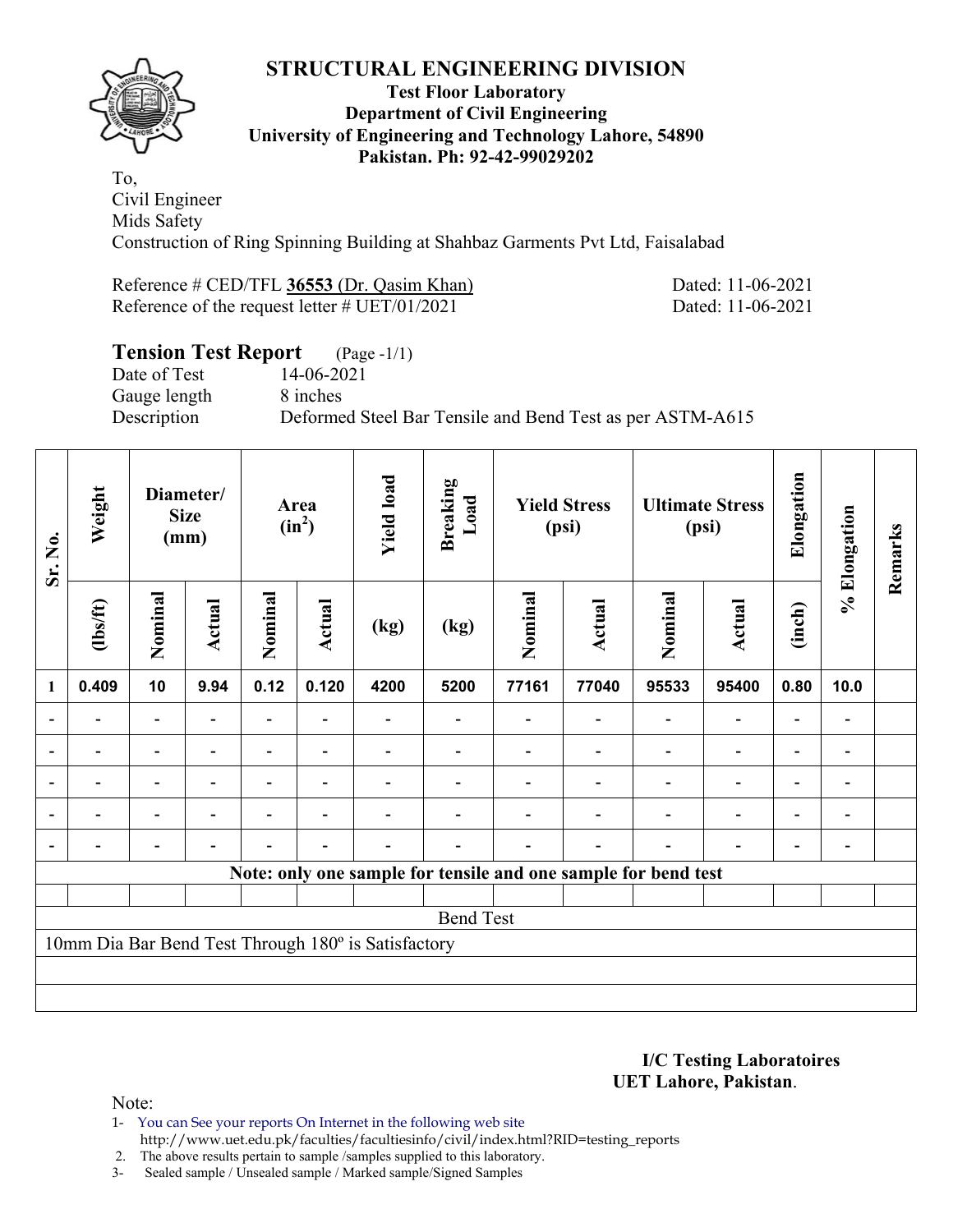

#### **Test Floor Laboratory Department of Civil Engineering University of Engineering and Technology Lahore, 54890 Pakistan. Ph: 92-42-99029202**

To, Civil Engineer Mids Safety Construction of Ring Spinning Building at Shahbaz Garments Pvt Ltd, Faisalabad

Reference # CED/TFL **36553** (Dr. Qasim Khan) Dated: 11-06-2021 Reference of the request letter # UET/01/2021 Dated: 11-06-2021

### **Tension Test Report** (Page -1/1)

Date of Test 14-06-2021 Gauge length 8 inches

Description Deformed Steel Bar Tensile and Bend Test as per ASTM-A615

| Sr. No.        | Weight         |                          | Diameter/<br><b>Size</b><br>(mm) |         | Area<br>$(in^2)$         | <b>Yield load</b>                                   | <b>Breaking</b><br>Load                                        |         | <b>Yield Stress</b><br>(psi) |         | <b>Ultimate Stress</b><br>(psi) | Elongation               | % Elongation   | Remarks |
|----------------|----------------|--------------------------|----------------------------------|---------|--------------------------|-----------------------------------------------------|----------------------------------------------------------------|---------|------------------------------|---------|---------------------------------|--------------------------|----------------|---------|
|                | (1bs/ft)       | Nominal                  | Actual                           | Nominal | Actual                   | (kg)                                                | (kg)                                                           | Nominal | <b>Actual</b>                | Nominal | Actual                          | (inch)                   |                |         |
| 1              | 0.409          | 10                       | 9.94                             | 0.12    | 0.120                    | 4200                                                | 5200                                                           | 77161   | 77040                        | 95533   | 95400                           | 0.80                     | 10.0           |         |
|                |                |                          |                                  |         |                          |                                                     |                                                                |         |                              |         | $\overline{\phantom{0}}$        | $\overline{\phantom{0}}$ |                |         |
|                |                | $\overline{\phantom{0}}$ |                                  |         |                          |                                                     |                                                                |         |                              |         | $\overline{\phantom{0}}$        | $\overline{\phantom{0}}$ |                |         |
| $\blacksquare$ |                | $\overline{\phantom{a}}$ | $\overline{\phantom{a}}$         |         | $\overline{\phantom{a}}$ |                                                     |                                                                |         |                              |         | $\overline{\phantom{a}}$        | Ξ.                       | $\blacksquare$ |         |
|                | $\blacksquare$ | $\overline{\phantom{0}}$ |                                  |         | ۰                        |                                                     |                                                                |         |                              |         | $\overline{\phantom{a}}$        | $\overline{\phantom{0}}$ | $\blacksquare$ |         |
|                |                | $\overline{\phantom{0}}$ |                                  |         | $\blacksquare$           |                                                     |                                                                |         | $\blacksquare$               |         | $\overline{\phantom{a}}$        | $\blacksquare$           | $\blacksquare$ |         |
|                |                |                          |                                  |         |                          |                                                     | Note: only one sample for tensile and one sample for bend test |         |                              |         |                                 |                          |                |         |
|                |                |                          |                                  |         |                          |                                                     |                                                                |         |                              |         |                                 |                          |                |         |
|                |                |                          |                                  |         |                          |                                                     | <b>Bend Test</b>                                               |         |                              |         |                                 |                          |                |         |
|                |                |                          |                                  |         |                          | 10mm Dia Bar Bend Test Through 180° is Satisfactory |                                                                |         |                              |         |                                 |                          |                |         |
|                |                |                          |                                  |         |                          |                                                     |                                                                |         |                              |         |                                 |                          |                |         |
|                |                |                          |                                  |         |                          |                                                     |                                                                |         |                              |         |                                 |                          |                |         |

#### **I/C Testing Laboratoires UET Lahore, Pakistan**.

Note:

1- You can See your reports On Internet in the following web site http://www.uet.edu.pk/faculties/facultiesinfo/civil/index.html?RID=testing\_reports

2. The above results pertain to sample /samples supplied to this laboratory.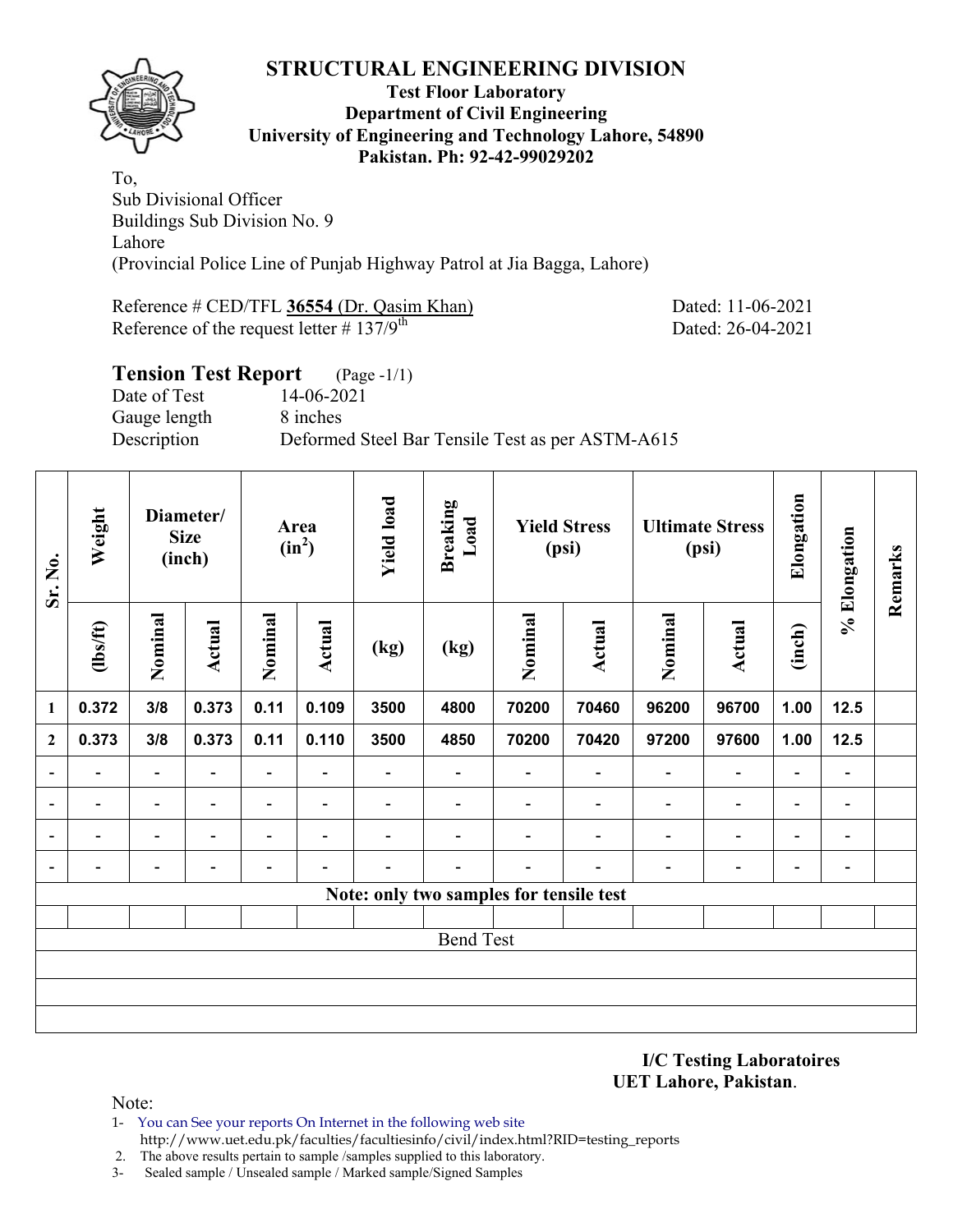

#### **Test Floor Laboratory Department of Civil Engineering University of Engineering and Technology Lahore, 54890 Pakistan. Ph: 92-42-99029202**

To, Sub Divisional Officer Buildings Sub Division No. 9 Lahore (Provincial Police Line of Punjab Highway Patrol at Jia Bagga, Lahore)

Reference # CED/TFL 36554 (Dr. Qasim Khan) Dated: 11-06-2021 Reference of the request letter  $\# 137/9^{\text{th}}$  Dated: 26-04-2021

## **Tension Test Report** (Page -1/1) Date of Test 14-06-2021 Gauge length 8 inches Description Deformed Steel Bar Tensile Test as per ASTM-A615

| Sr. No.                  | Weight                   |                          | Diameter/<br><b>Size</b><br>(inch) |                              | Area<br>$(in^2)$         | <b>Yield load</b> | <b>Breaking</b><br>Load                 |                          | <b>Yield Stress</b><br>(psi) |                          | <b>Ultimate Stress</b><br>(psi) | Elongation               | % Elongation             | Remarks |
|--------------------------|--------------------------|--------------------------|------------------------------------|------------------------------|--------------------------|-------------------|-----------------------------------------|--------------------------|------------------------------|--------------------------|---------------------------------|--------------------------|--------------------------|---------|
|                          | $\frac{2}{10}$           | Nominal                  | <b>Actual</b>                      | Nominal                      | Actual                   | (kg)              | (kg)                                    | Nominal                  | <b>Actual</b>                | Nominal                  | <b>Actual</b>                   | (inch)                   |                          |         |
| $\mathbf{1}$             | 0.372                    | 3/8                      | 0.373                              | 0.11                         | 0.109                    | 3500              | 4800                                    | 70200                    | 70460                        | 96200                    | 96700                           | 1.00                     | 12.5                     |         |
| $\boldsymbol{2}$         | 0.373                    | 3/8                      | 0.373                              | 0.11                         | 0.110                    | 3500              | 4850                                    | 70200                    | 70420                        | 97200                    | 97600                           | 1.00                     | 12.5                     |         |
| $\overline{\phantom{a}}$ | $\overline{\phantom{0}}$ | $\blacksquare$           | $\blacksquare$                     | $\qquad \qquad \blacksquare$ | $\overline{\phantom{a}}$ | -                 | $\blacksquare$                          | $\blacksquare$           | $\overline{\phantom{a}}$     | $\overline{\phantom{a}}$ | $\overline{\phantom{a}}$        | $\blacksquare$           | $\overline{\phantom{a}}$ |         |
| $\overline{a}$           |                          | $\overline{\phantom{0}}$ |                                    | $\overline{\phantom{0}}$     | ٠                        |                   |                                         |                          | $\overline{\phantom{0}}$     | $\overline{\phantom{0}}$ | $\overline{\phantom{a}}$        | $\overline{\phantom{0}}$ | $\blacksquare$           |         |
| $\overline{\phantom{a}}$ | -                        | $\blacksquare$           | $\blacksquare$                     | $\overline{\phantom{0}}$     | $\overline{\phantom{a}}$ |                   |                                         |                          | ۰                            | $\overline{\phantom{0}}$ | $\overline{\phantom{a}}$        | -                        | $\blacksquare$           |         |
| $\overline{\phantom{a}}$ | $\overline{\phantom{0}}$ | $\overline{\phantom{0}}$ | $\overline{\phantom{0}}$           | $\overline{\phantom{0}}$     | $\blacksquare$           |                   | $\overline{\phantom{0}}$                | $\overline{\phantom{0}}$ | $\overline{\phantom{0}}$     | $\overline{\phantom{0}}$ | $\overline{\phantom{a}}$        | $\blacksquare$           | $\overline{\phantom{a}}$ |         |
|                          |                          |                          |                                    |                              |                          |                   | Note: only two samples for tensile test |                          |                              |                          |                                 |                          |                          |         |
|                          |                          |                          |                                    |                              |                          |                   |                                         |                          |                              |                          |                                 |                          |                          |         |
|                          |                          |                          |                                    |                              |                          |                   | <b>Bend Test</b>                        |                          |                              |                          |                                 |                          |                          |         |
|                          |                          |                          |                                    |                              |                          |                   |                                         |                          |                              |                          |                                 |                          |                          |         |
|                          |                          |                          |                                    |                              |                          |                   |                                         |                          |                              |                          |                                 |                          |                          |         |
|                          |                          |                          |                                    |                              |                          |                   |                                         |                          |                              |                          |                                 |                          |                          |         |

**I/C Testing Laboratoires UET Lahore, Pakistan**.

Note:

- 1- You can See your reports On Internet in the following web site http://www.uet.edu.pk/faculties/facultiesinfo/civil/index.html?RID=testing\_reports
- 2. The above results pertain to sample /samples supplied to this laboratory.
- 3- Sealed sample / Unsealed sample / Marked sample/Signed Samples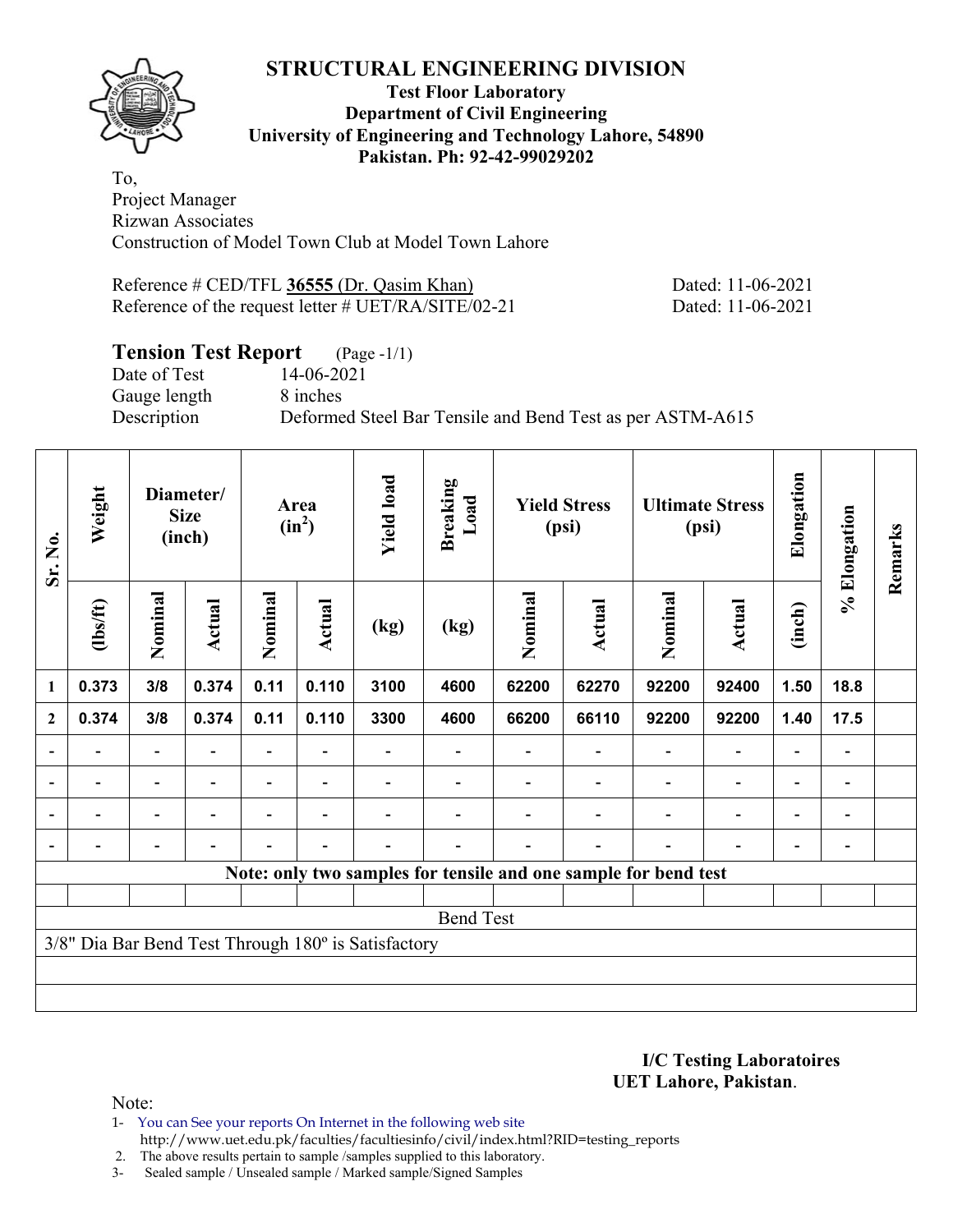

#### **Test Floor Laboratory Department of Civil Engineering University of Engineering and Technology Lahore, 54890 Pakistan. Ph: 92-42-99029202**

To, Project Manager Rizwan Associates Construction of Model Town Club at Model Town Lahore

Reference # CED/TFL **36555** (Dr. Qasim Khan) Dated: 11-06-2021 Reference of the request letter # UET/RA/SITE/02-21 Dated: 11-06-2021

### **Tension Test Report** (Page -1/1)

Date of Test 14-06-2021 Gauge length 8 inches

Description Deformed Steel Bar Tensile and Bend Test as per ASTM-A615

| Sr. No.        | Weight   |                          | Diameter/<br><b>Size</b><br>(inch) |                          | Area<br>$(in^2)$         | <b>Yield load</b>                                   | <b>Breaking</b><br>Load                                         |         | <b>Yield Stress</b><br>(psi) |                          | <b>Ultimate Stress</b><br>(psi) | Elongation               | % Elongation   | Remarks |
|----------------|----------|--------------------------|------------------------------------|--------------------------|--------------------------|-----------------------------------------------------|-----------------------------------------------------------------|---------|------------------------------|--------------------------|---------------------------------|--------------------------|----------------|---------|
|                | (1bs/ft) | Nominal                  | Actual                             | Nominal                  | Actual                   | (kg)                                                | (kg)                                                            | Nominal | Actual                       | Nominal                  | <b>Actual</b>                   | (inch)                   |                |         |
| $\mathbf{1}$   | 0.373    | 3/8                      | 0.374                              | 0.11                     | 0.110                    | 3100                                                | 4600                                                            | 62200   | 62270                        | 92200                    | 92400                           | 1.50                     | 18.8           |         |
| $\mathbf{2}$   | 0.374    | 3/8                      | 0.374                              | 0.11                     | 0.110                    | 3300                                                | 4600                                                            | 66200   | 66110                        | 92200                    | 92200                           | 1.40                     | 17.5           |         |
|                |          | $\overline{a}$           |                                    |                          |                          |                                                     |                                                                 |         |                              |                          | $\overline{a}$                  | -                        |                |         |
| $\blacksquare$ | Ξ.       | $\overline{\phantom{a}}$ | $\overline{\phantom{a}}$           | Ξ.                       | $\overline{\phantom{a}}$ |                                                     |                                                                 |         | $\overline{\phantom{a}}$     | $\blacksquare$           | $\overline{\phantom{a}}$        | $\overline{\phantom{a}}$ | $\blacksquare$ |         |
|                | Ξ.       | $\overline{\phantom{0}}$ | ۰                                  | $\blacksquare$           | $\blacksquare$           |                                                     |                                                                 |         |                              | $\overline{\phantom{0}}$ | $\overline{a}$                  | $\overline{\phantom{a}}$ | $\blacksquare$ |         |
| $\blacksquare$ |          | $\overline{\phantom{0}}$ | $\blacksquare$                     | $\overline{\phantom{0}}$ | $\blacksquare$           |                                                     |                                                                 |         | $\overline{\phantom{0}}$     | $\overline{\phantom{0}}$ | $\overline{a}$                  | $\overline{\phantom{0}}$ |                |         |
|                |          |                          |                                    |                          |                          |                                                     | Note: only two samples for tensile and one sample for bend test |         |                              |                          |                                 |                          |                |         |
|                |          |                          |                                    |                          |                          |                                                     |                                                                 |         |                              |                          |                                 |                          |                |         |
|                |          |                          |                                    |                          |                          |                                                     | <b>Bend Test</b>                                                |         |                              |                          |                                 |                          |                |         |
|                |          |                          |                                    |                          |                          | 3/8" Dia Bar Bend Test Through 180° is Satisfactory |                                                                 |         |                              |                          |                                 |                          |                |         |
|                |          |                          |                                    |                          |                          |                                                     |                                                                 |         |                              |                          |                                 |                          |                |         |
|                |          |                          |                                    |                          |                          |                                                     |                                                                 |         |                              |                          |                                 |                          |                |         |

**I/C Testing Laboratoires UET Lahore, Pakistan**.

Note:

1- You can See your reports On Internet in the following web site http://www.uet.edu.pk/faculties/facultiesinfo/civil/index.html?RID=testing\_reports

2. The above results pertain to sample /samples supplied to this laboratory.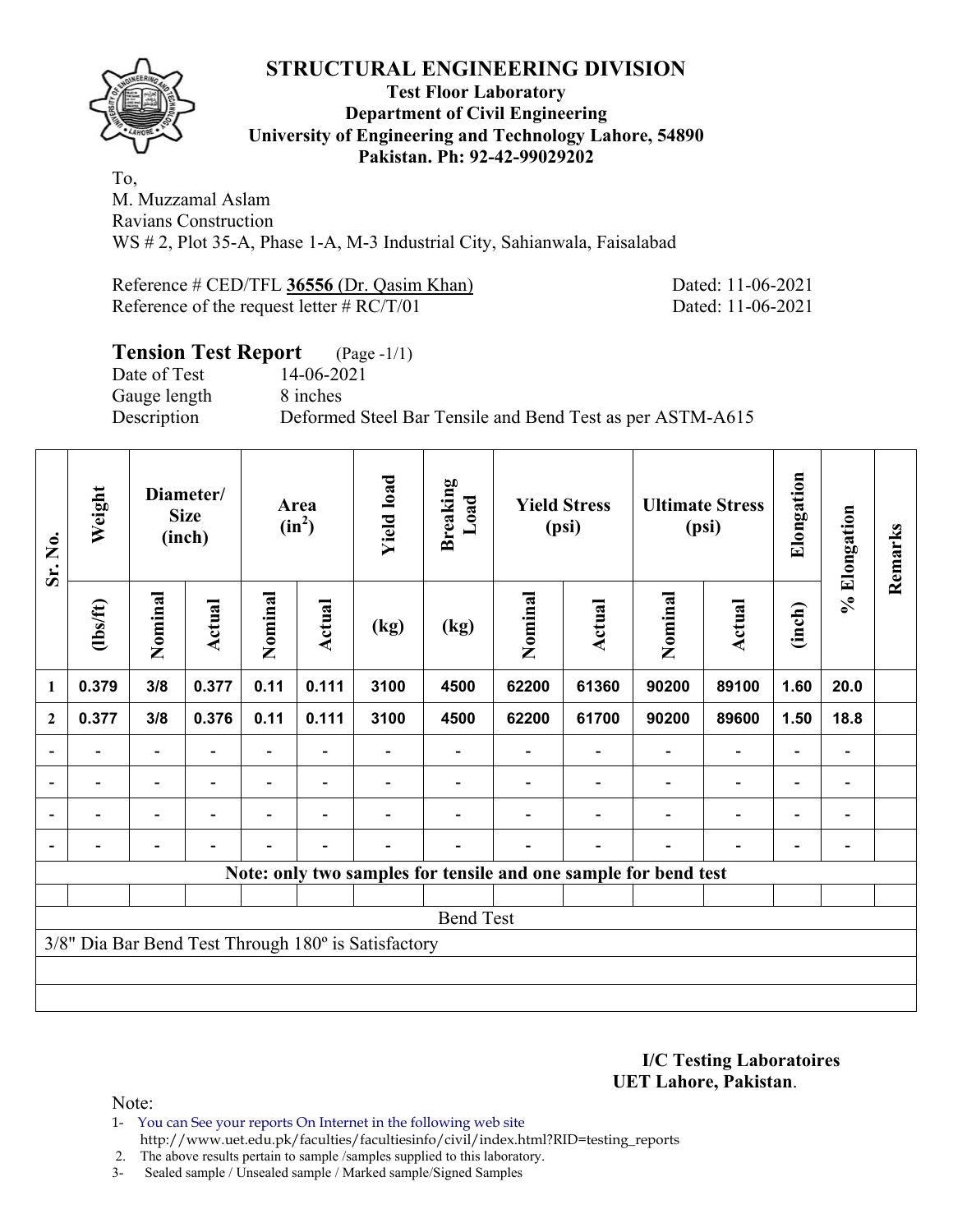

#### **Test Floor Laboratory Department of Civil Engineering University of Engineering and Technology Lahore, 54890 Pakistan. Ph: 92-42-99029202**

To, M. Muzzamal Aslam Ravians Construction WS # 2, Plot 35-A, Phase 1-A, M-3 Industrial City, Sahianwala, Faisalabad

Reference # CED/TFL **36556** (Dr. Qasim Khan) Dated: 11-06-2021 Reference of the request letter # RC/T/01 Dated: 11-06-2021

## **Tension Test Report** (Page -1/1) Date of Test 14-06-2021 Gauge length 8 inches Description Deformed Steel Bar Tensile and Bend Test as per ASTM-A615

| Sr. No.                  | Weight                   |                          | Diameter/<br><b>Size</b><br>(inch) | Area<br>$(in^2)$ |                          | <b>Yield load</b>                                   | <b>Breaking</b><br>Load |         | <b>Yield Stress</b><br>(psi)                                    |                          | <b>Ultimate Stress</b><br>(psi) | Elongation                   | % Elongation | Remarks |
|--------------------------|--------------------------|--------------------------|------------------------------------|------------------|--------------------------|-----------------------------------------------------|-------------------------|---------|-----------------------------------------------------------------|--------------------------|---------------------------------|------------------------------|--------------|---------|
|                          | $\frac{2}{10}$           | Nominal                  | Actual                             | Nominal          | <b>Actual</b>            | (kg)                                                | (kg)                    | Nominal | Actual                                                          | Nominal                  | <b>Actual</b>                   | (inch)                       |              |         |
| 1                        | 0.379                    | 3/8                      | 0.377                              | 0.11             | 0.111                    | 3100                                                | 4500                    | 62200   | 61360                                                           | 90200                    | 89100                           | 1.60                         | 20.0         |         |
| $\mathbf{2}$             | 0.377                    | 3/8                      | 0.376                              | 0.11             | 0.111                    | 3100                                                | 4500                    | 62200   | 61700                                                           | 90200                    | 89600                           | 1.50                         | 18.8         |         |
| $\overline{\phantom{0}}$ |                          |                          |                                    |                  |                          |                                                     |                         |         |                                                                 |                          |                                 |                              |              |         |
| $\overline{\phantom{a}}$ | $\overline{\phantom{0}}$ | $\overline{\phantom{0}}$ | $\overline{\phantom{0}}$           |                  | $\overline{\phantom{a}}$ |                                                     |                         |         |                                                                 | $\overline{\phantom{0}}$ | $\overline{\phantom{a}}$        | $\overline{\phantom{a}}$     | -            |         |
|                          | $\blacksquare$           | $\overline{\phantom{0}}$ | ۰                                  |                  | $\overline{\phantom{0}}$ |                                                     |                         |         |                                                                 |                          | $\overline{\phantom{0}}$        | $\qquad \qquad \blacksquare$ |              |         |
|                          |                          | $\overline{\phantom{0}}$ |                                    |                  | $\overline{\phantom{0}}$ |                                                     |                         |         |                                                                 |                          | $\overline{\phantom{0}}$        | $\blacksquare$               |              |         |
|                          |                          |                          |                                    |                  |                          |                                                     |                         |         | Note: only two samples for tensile and one sample for bend test |                          |                                 |                              |              |         |
|                          |                          |                          |                                    |                  |                          |                                                     |                         |         |                                                                 |                          |                                 |                              |              |         |
|                          |                          |                          |                                    |                  |                          |                                                     | <b>Bend Test</b>        |         |                                                                 |                          |                                 |                              |              |         |
|                          |                          |                          |                                    |                  |                          | 3/8" Dia Bar Bend Test Through 180° is Satisfactory |                         |         |                                                                 |                          |                                 |                              |              |         |
|                          |                          |                          |                                    |                  |                          |                                                     |                         |         |                                                                 |                          |                                 |                              |              |         |
|                          |                          |                          |                                    |                  |                          |                                                     |                         |         |                                                                 |                          |                                 |                              |              |         |

**I/C Testing Laboratoires UET Lahore, Pakistan**.

Note:

1- You can See your reports On Internet in the following web site http://www.uet.edu.pk/faculties/facultiesinfo/civil/index.html?RID=testing\_reports

2. The above results pertain to sample /samples supplied to this laboratory.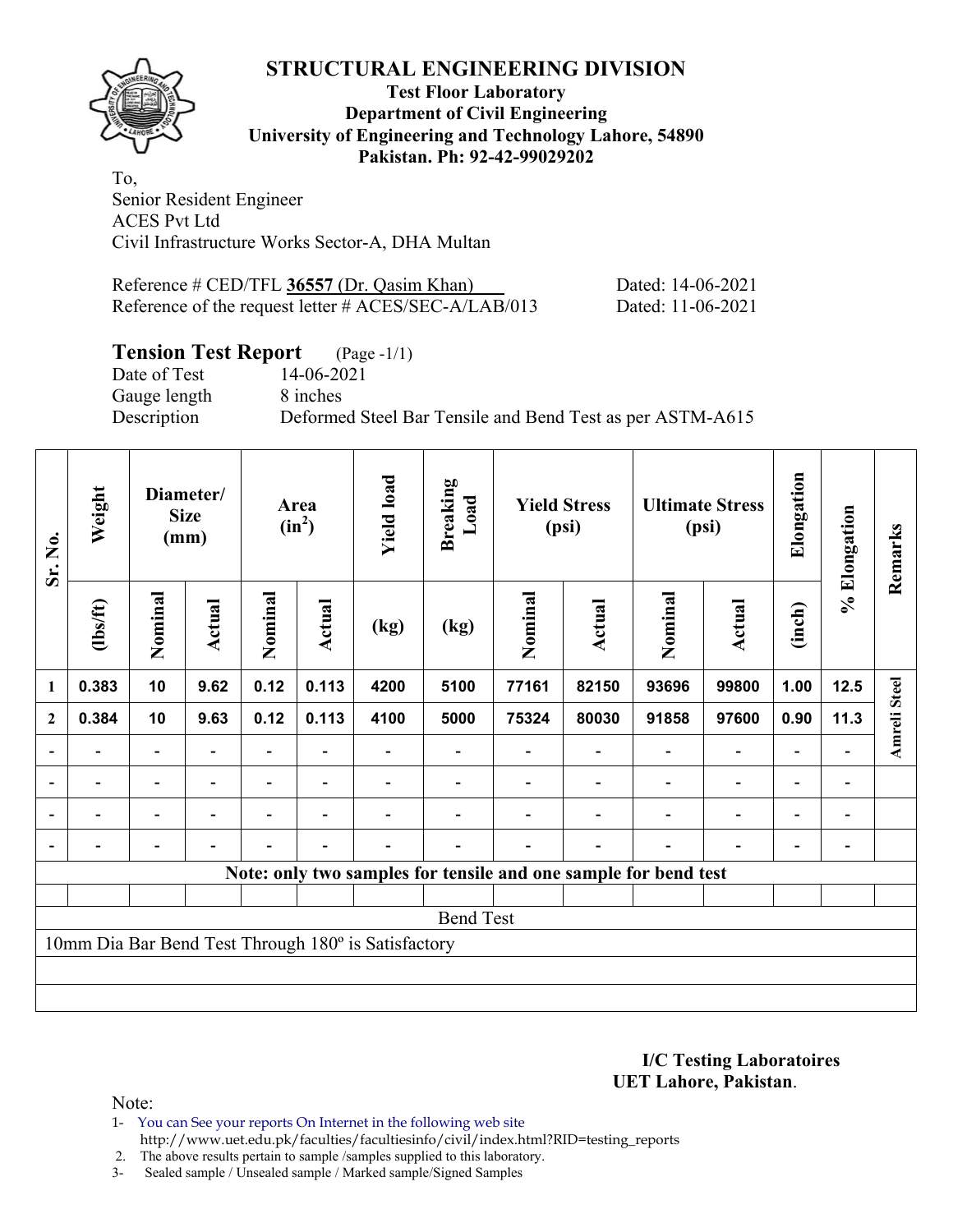

#### **Test Floor Laboratory Department of Civil Engineering University of Engineering and Technology Lahore, 54890 Pakistan. Ph: 92-42-99029202**

To, Senior Resident Engineer ACES Pvt Ltd Civil Infrastructure Works Sector-A, DHA Multan

| Reference $\#$ CED/TFL 36557 (Dr. Qasim Khan)        | Dated: 14-06-2021 |
|------------------------------------------------------|-------------------|
| Reference of the request letter # ACES/SEC-A/LAB/013 | Dated: 11-06-2021 |

### **Tension Test Report** (Page -1/1)

Date of Test 14-06-2021 Gauge length 8 inches

Description Deformed Steel Bar Tensile and Bend Test as per ASTM-A615

| Sr. No.                                                         | Weight   | Diameter/<br><b>Size</b><br>(mm) |                          | Area<br>$(in^2)$ |                          | <b>Yield load</b> | <b>Breaking</b><br>Load | <b>Yield Stress</b><br>(psi) |                          | <b>Ultimate Stress</b><br>(psi) |                          | Elongation               | % Elongation   | Remarks             |
|-----------------------------------------------------------------|----------|----------------------------------|--------------------------|------------------|--------------------------|-------------------|-------------------------|------------------------------|--------------------------|---------------------------------|--------------------------|--------------------------|----------------|---------------------|
|                                                                 | (1bs/ft) | Nominal                          | Actual                   | Nominal          | <b>Actual</b>            | (kg)              | (kg)                    | Nominal                      | Actual                   | Nominal                         | <b>Actual</b>            | (inch)                   |                |                     |
| $\mathbf{1}$                                                    | 0.383    | 10                               | 9.62                     | 0.12             | 0.113                    | 4200              | 5100                    | 77161                        | 82150                    | 93696                           | 99800                    | 1.00                     | 12.5           |                     |
| $\boldsymbol{2}$                                                | 0.384    | 10                               | 9.63                     | 0.12             | 0.113                    | 4100              | 5000                    | 75324                        | 80030                    | 91858                           | 97600                    | 0.90                     | 11.3           | <b>Amreli Steel</b> |
| $\overline{\phantom{a}}$                                        |          | $\overline{\phantom{a}}$         | $\overline{\phantom{0}}$ |                  |                          |                   |                         |                              | $\overline{\phantom{a}}$ | $\overline{\phantom{a}}$        | $\overline{\phantom{a}}$ | $\overline{\phantom{0}}$ |                |                     |
| $\blacksquare$                                                  | ٠        | $\blacksquare$                   | $\blacksquare$           | Ξ.               | $\blacksquare$           |                   |                         |                              |                          | $\blacksquare$                  | $\overline{a}$           | $\overline{\phantom{a}}$ | $\blacksquare$ |                     |
|                                                                 |          | $\blacksquare$                   |                          |                  | $\overline{\phantom{0}}$ |                   |                         |                              |                          | $\overline{\phantom{0}}$        | $\overline{a}$           | $\overline{a}$           |                |                     |
|                                                                 |          | $\overline{\phantom{0}}$         |                          |                  |                          |                   |                         |                              |                          |                                 | $\overline{\phantom{0}}$ | ۰                        |                |                     |
| Note: only two samples for tensile and one sample for bend test |          |                                  |                          |                  |                          |                   |                         |                              |                          |                                 |                          |                          |                |                     |
|                                                                 |          |                                  |                          |                  |                          |                   |                         |                              |                          |                                 |                          |                          |                |                     |
| <b>Bend Test</b>                                                |          |                                  |                          |                  |                          |                   |                         |                              |                          |                                 |                          |                          |                |                     |
| 10mm Dia Bar Bend Test Through 180° is Satisfactory             |          |                                  |                          |                  |                          |                   |                         |                              |                          |                                 |                          |                          |                |                     |
|                                                                 |          |                                  |                          |                  |                          |                   |                         |                              |                          |                                 |                          |                          |                |                     |
|                                                                 |          |                                  |                          |                  |                          |                   |                         |                              |                          |                                 |                          |                          |                |                     |

**I/C Testing Laboratoires UET Lahore, Pakistan**.

Note:

1- You can See your reports On Internet in the following web site http://www.uet.edu.pk/faculties/facultiesinfo/civil/index.html?RID=testing\_reports

2. The above results pertain to sample /samples supplied to this laboratory.